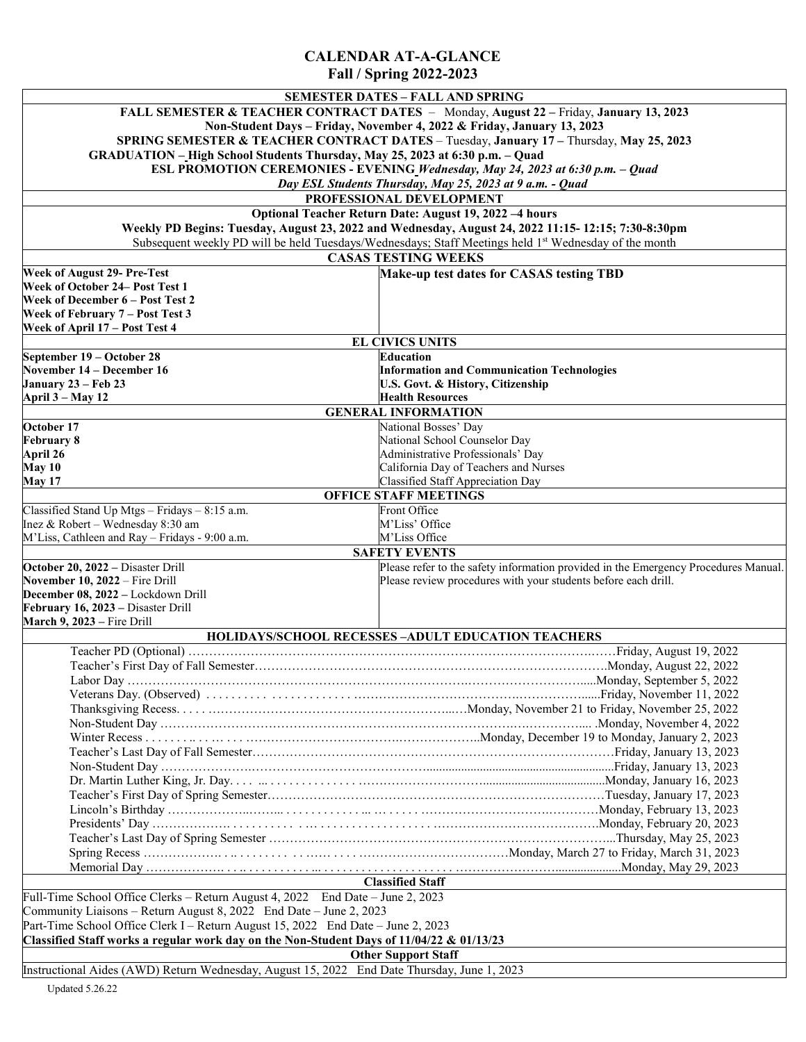## **CALENDAR AT-A-GLANCE Fall / Spring 2022-2023**

|                                                                                                       | <b>SEMESTER DATES - FALL AND SPRING</b>                                             |
|-------------------------------------------------------------------------------------------------------|-------------------------------------------------------------------------------------|
| FALL SEMESTER & TEACHER CONTRACT DATES - Monday, August 22 - Friday, January 13, 2023                 |                                                                                     |
| Non-Student Days - Friday, November 4, 2022 & Friday, January 13, 2023                                |                                                                                     |
| SPRING SEMESTER & TEACHER CONTRACT DATES - Tuesday, January 17 - Thursday, May 25, 2023               |                                                                                     |
| GRADUATION - High School Students Thursday, May 25, 2023 at 6:30 p.m. - Quad                          |                                                                                     |
| ESL PROMOTION CEREMONIES - EVENING Wednesday, May 24, 2023 at 6:30 p.m. - Quad                        |                                                                                     |
| Day ESL Students Thursday, May 25, 2023 at 9 a.m. - Quad                                              |                                                                                     |
|                                                                                                       |                                                                                     |
| PROFESSIONAL DEVELOPMENT                                                                              |                                                                                     |
| Optional Teacher Return Date: August 19, 2022 -4 hours                                                |                                                                                     |
| Weekly PD Begins: Tuesday, August 23, 2022 and Wednesday, August 24, 2022 11:15-12:15; 7:30-8:30pm    |                                                                                     |
| Subsequent weekly PD will be held Tuesdays/Wednesdays; Staff Meetings held 1st Wednesday of the month |                                                                                     |
|                                                                                                       | <b>CASAS TESTING WEEKS</b>                                                          |
| Week of August 29- Pre-Test                                                                           | Make-up test dates for CASAS testing TBD                                            |
| Week of October 24– Post Test 1                                                                       |                                                                                     |
| Week of December 6 - Post Test 2                                                                      |                                                                                     |
| Week of February 7 - Post Test 3                                                                      |                                                                                     |
| Week of April 17 - Post Test 4                                                                        |                                                                                     |
| <b>EL CIVICS UNITS</b>                                                                                |                                                                                     |
| September 19 – October 28                                                                             | Education                                                                           |
| November 14 – December 16                                                                             | <b>Information and Communication Technologies</b>                                   |
| January 23 - Feb 23                                                                                   | U.S. Govt. & History, Citizenship                                                   |
| April 3 - May 12                                                                                      | <b>Health Resources</b>                                                             |
| <b>GENERAL INFORMATION</b>                                                                            |                                                                                     |
| October 17                                                                                            | National Bosses' Day                                                                |
| <b>February 8</b>                                                                                     | National School Counselor Day                                                       |
| April 26                                                                                              | Administrative Professionals' Day                                                   |
| May 10                                                                                                | California Day of Teachers and Nurses                                               |
| May 17                                                                                                | Classified Staff Appreciation Day                                                   |
|                                                                                                       |                                                                                     |
| <b>OFFICE STAFF MEETINGS</b>                                                                          |                                                                                     |
| Classified Stand Up Mtgs - Fridays - 8:15 a.m.                                                        | Front Office                                                                        |
| Inez & Robert - Wednesday 8:30 am                                                                     | M'Liss' Office                                                                      |
| M'Liss, Cathleen and Ray - Fridays - 9:00 a.m.<br>M'Liss Office<br><b>SAFETY EVENTS</b>               |                                                                                     |
|                                                                                                       |                                                                                     |
| October 20, 2022 - Disaster Drill                                                                     | Please refer to the safety information provided in the Emergency Procedures Manual. |
| November 10, 2022 - Fire Drill                                                                        | Please review procedures with your students before each drill.                      |
| December 08, 2022 - Lockdown Drill                                                                    |                                                                                     |
| February 16, 2023 - Disaster Drill                                                                    |                                                                                     |
| March 9, 2023 – Fire Drill                                                                            |                                                                                     |
| HOLIDAYS/SCHOOL RECESSES - ADULT EDUCATION TEACHERS                                                   |                                                                                     |
|                                                                                                       |                                                                                     |
|                                                                                                       |                                                                                     |
|                                                                                                       |                                                                                     |
|                                                                                                       |                                                                                     |
|                                                                                                       |                                                                                     |
|                                                                                                       |                                                                                     |
|                                                                                                       |                                                                                     |
|                                                                                                       |                                                                                     |
|                                                                                                       |                                                                                     |
|                                                                                                       |                                                                                     |
|                                                                                                       |                                                                                     |
|                                                                                                       |                                                                                     |
|                                                                                                       |                                                                                     |
|                                                                                                       |                                                                                     |
|                                                                                                       |                                                                                     |
|                                                                                                       |                                                                                     |
|                                                                                                       |                                                                                     |
| <b>Classified Staff</b>                                                                               |                                                                                     |
| Full-Time School Office Clerks - Return August 4, 2022 End Date - June 2, 2023                        |                                                                                     |
| Community Liaisons – Return August 8, 2022 End Date – June 2, 2023                                    |                                                                                     |
| Part-Time School Office Clerk I - Return August 15, 2022 End Date - June 2, 2023                      |                                                                                     |
| Classified Staff works a regular work day on the Non-Student Days of 11/04/22 & 01/13/23              |                                                                                     |
|                                                                                                       | <b>Other Support Staff</b>                                                          |
| Instructional Aides (AWD) Return Wednesday, August 15, 2022 End Date Thursday, June 1, 2023           |                                                                                     |
|                                                                                                       |                                                                                     |